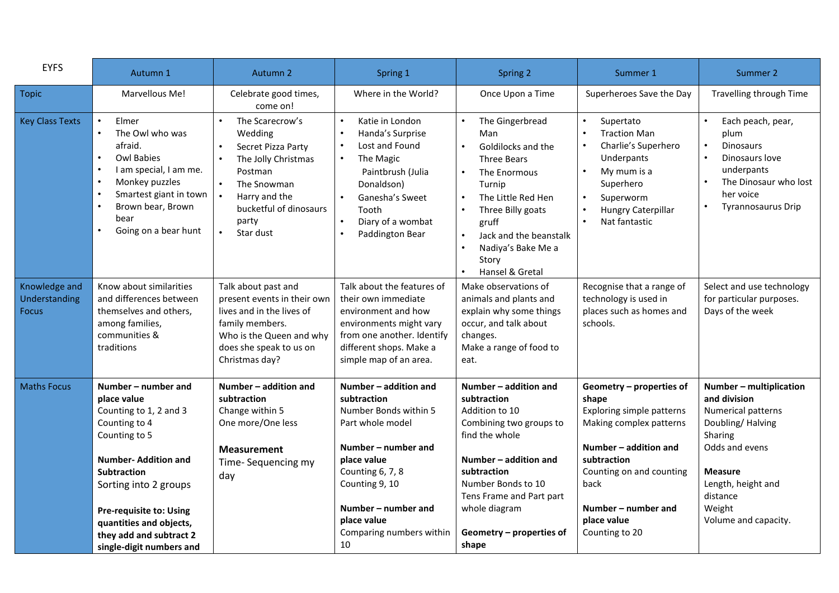| <b>EYFS</b>                                    | Autumn 1                                                                                                                                                                                                                                                                                 | Autumn 2                                                                                                                                                                                     | Spring 1                                                                                                                                                                                                                              | Spring 2                                                                                                                                                                                                                                                            | Summer 1                                                                                                                                                                                                                      | Summer 2                                                                                                                                                                                             |
|------------------------------------------------|------------------------------------------------------------------------------------------------------------------------------------------------------------------------------------------------------------------------------------------------------------------------------------------|----------------------------------------------------------------------------------------------------------------------------------------------------------------------------------------------|---------------------------------------------------------------------------------------------------------------------------------------------------------------------------------------------------------------------------------------|---------------------------------------------------------------------------------------------------------------------------------------------------------------------------------------------------------------------------------------------------------------------|-------------------------------------------------------------------------------------------------------------------------------------------------------------------------------------------------------------------------------|------------------------------------------------------------------------------------------------------------------------------------------------------------------------------------------------------|
| <b>Topic</b>                                   | Marvellous Me!                                                                                                                                                                                                                                                                           | Celebrate good times,<br>come on!                                                                                                                                                            | Where in the World?                                                                                                                                                                                                                   | Once Upon a Time                                                                                                                                                                                                                                                    | Superheroes Save the Day                                                                                                                                                                                                      | Travelling through Time                                                                                                                                                                              |
| <b>Key Class Texts</b>                         | Elmer<br>The Owl who was<br>afraid.<br><b>Owl Babies</b><br>I am special, I am me.<br>Monkey puzzles<br>Smartest giant in town<br>Brown bear, Brown<br>$\bullet$<br>bear<br>Going on a bear hunt                                                                                         | The Scarecrow's<br>Wedding<br>Secret Pizza Party<br>$\bullet$<br>The Jolly Christmas<br>Postman<br>The Snowman<br>Harry and the<br>bucketful of dinosaurs<br>party<br>$\bullet$<br>Star dust | $\bullet$<br>Katie in London<br>Handa's Surprise<br>$\bullet$<br>Lost and Found<br>The Magic<br>Paintbrush (Julia<br>Donaldson)<br>Ganesha's Sweet<br>$\bullet$<br>Tooth<br>Diary of a wombat<br>Paddington Bear<br>$\bullet$         | The Gingerbread<br>Man<br>Goldilocks and the<br>$\bullet$<br><b>Three Bears</b><br>The Enormous<br>Turnip<br>The Little Red Hen<br>$\bullet$<br>Three Billy goats<br>gruff<br>Jack and the beanstalk<br>$\bullet$<br>Nadiya's Bake Me a<br>Story<br>Hansel & Gretal | Supertato<br><b>Traction Man</b><br>Charlie's Superhero<br>Underpants<br>My mum is a<br>Superhero<br>Superworm<br>Hungry Caterpillar<br>Nat fantastic                                                                         | $\bullet$<br>Each peach, pear,<br>plum<br><b>Dinosaurs</b><br>$\bullet$<br>Dinosaurs love<br>underpants<br>The Dinosaur who lost<br>her voice<br><b>Tyrannosaurus Drip</b>                           |
| Knowledge and<br>Understanding<br><b>Focus</b> | Know about similarities<br>and differences between<br>themselves and others,<br>among families,<br>communities &<br>traditions                                                                                                                                                           | Talk about past and<br>present events in their own<br>lives and in the lives of<br>family members.<br>Who is the Queen and why<br>does she speak to us on<br>Christmas day?                  | Talk about the features of<br>their own immediate<br>environment and how<br>environments might vary<br>from one another. Identify<br>different shops. Make a<br>simple map of an area.                                                | Make observations of<br>animals and plants and<br>explain why some things<br>occur, and talk about<br>changes.<br>Make a range of food to<br>eat.                                                                                                                   | Recognise that a range of<br>technology is used in<br>places such as homes and<br>schools.                                                                                                                                    | Select and use technology<br>for particular purposes.<br>Days of the week                                                                                                                            |
| <b>Maths Focus</b>                             | Number - number and<br>place value<br>Counting to 1, 2 and 3<br>Counting to 4<br>Counting to 5<br><b>Number-Addition and</b><br><b>Subtraction</b><br>Sorting into 2 groups<br>Pre-requisite to: Using<br>quantities and objects,<br>they add and subtract 2<br>single-digit numbers and | Number - addition and<br>subtraction<br>Change within 5<br>One more/One less<br><b>Measurement</b><br>Time-Sequencing my<br>day                                                              | Number - addition and<br>subtraction<br>Number Bonds within 5<br>Part whole model<br>Number – number and<br>place value<br>Counting 6, 7, 8<br>Counting 9, 10<br>Number – number and<br>place value<br>Comparing numbers within<br>10 | Number - addition and<br>subtraction<br>Addition to 10<br>Combining two groups to<br>find the whole<br>Number - addition and<br>subtraction<br>Number Bonds to 10<br>Tens Frame and Part part<br>whole diagram<br>Geometry - properties of<br>shape                 | Geometry - properties of<br>shape<br>Exploring simple patterns<br>Making complex patterns<br>Number - addition and<br>subtraction<br>Counting on and counting<br>back<br>Number – number and<br>place value<br>Counting to 20 | Number - multiplication<br>and division<br>Numerical patterns<br>Doubling/Halving<br>Sharing<br>Odds and evens<br><b>Measure</b><br>Length, height and<br>distance<br>Weight<br>Volume and capacity. |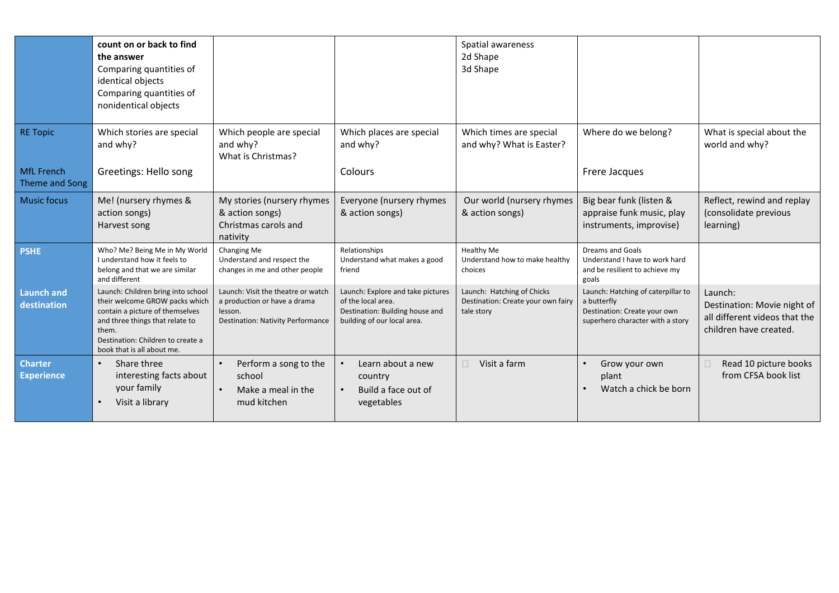|                                     | count on or back to find<br>the answer<br>Comparing quantities of<br>identical objects<br>Comparing quantities of<br>nonidentical objects                                                                              |                                                                                                                           |                                                                                                                           | Spatial awareness<br>2d Shape<br>3d Shape                                      |                                                                                                                       |                                                                                                   |
|-------------------------------------|------------------------------------------------------------------------------------------------------------------------------------------------------------------------------------------------------------------------|---------------------------------------------------------------------------------------------------------------------------|---------------------------------------------------------------------------------------------------------------------------|--------------------------------------------------------------------------------|-----------------------------------------------------------------------------------------------------------------------|---------------------------------------------------------------------------------------------------|
| <b>RE Topic</b>                     | Which stories are special<br>and why?                                                                                                                                                                                  | Which people are special<br>and why?<br>What is Christmas?                                                                | Which places are special<br>and why?                                                                                      | Which times are special<br>and why? What is Easter?                            | Where do we belong?                                                                                                   | What is special about the<br>world and why?                                                       |
| <b>MfL French</b><br>Theme and Song | Greetings: Hello song                                                                                                                                                                                                  |                                                                                                                           | Colours                                                                                                                   |                                                                                | Frere Jacques                                                                                                         |                                                                                                   |
| <b>Music focus</b>                  | Me! (nursery rhymes &<br>action songs)<br>Harvest song                                                                                                                                                                 | My stories (nursery rhymes<br>& action songs)<br>Christmas carols and<br>nativity                                         | Everyone (nursery rhymes<br>& action songs)                                                                               | Our world (nursery rhymes<br>& action songs)                                   | Big bear funk (listen &<br>appraise funk music, play<br>instruments, improvise)                                       | Reflect, rewind and replay<br>(consolidate previous<br>learning)                                  |
| <b>PSHE</b>                         | Who? Me? Being Me in My World<br>I understand how it feels to<br>belong and that we are similar<br>and different                                                                                                       | Changing Me<br>Understand and respect the<br>changes in me and other people                                               | Relationships<br>Understand what makes a good<br>friend                                                                   | <b>Healthy Me</b><br>Understand how to make healthy<br>choices                 | <b>Dreams and Goals</b><br>Understand I have to work hard<br>and be resilient to achieve my<br>goals                  |                                                                                                   |
| <b>Launch and</b><br>destination    | Launch: Children bring into school<br>their welcome GROW packs which<br>contain a picture of themselves<br>and three things that relate to<br>them.<br>Destination: Children to create a<br>book that is all about me. | Launch: Visit the theatre or watch<br>a production or have a drama<br>lesson.<br><b>Destination: Nativity Performance</b> | Launch: Explore and take pictures<br>of the local area.<br>Destination: Building house and<br>building of our local area. | Launch: Hatching of Chicks<br>Destination: Create your own fairy<br>tale story | Launch: Hatching of caterpillar to<br>a butterfly<br>Destination: Create your own<br>superhero character with a story | Launch:<br>Destination: Movie night of<br>all different videos that the<br>children have created. |
| <b>Charter</b><br><b>Experience</b> | Share three<br>$\bullet$<br>interesting facts about<br>your family<br>Visit a library                                                                                                                                  | Perform a song to the<br>$\bullet$<br>school<br>Make a meal in the<br>mud kitchen                                         | Learn about a new<br>country<br>Build a face out of<br>$\bullet$<br>vegetables                                            | $\Box$<br>Visit a farm                                                         | Grow your own<br>plant<br>Watch a chick be born                                                                       | $\Box$<br>Read 10 picture books<br>from CFSA book list                                            |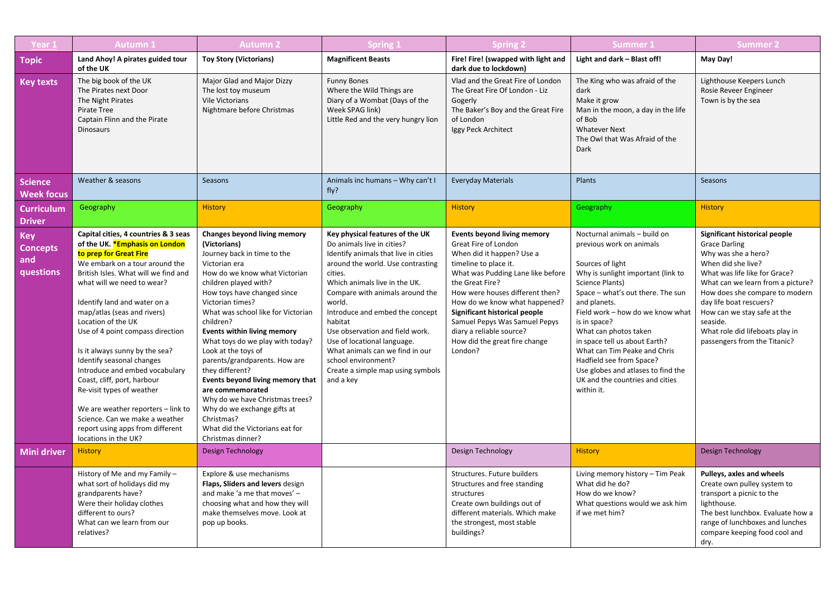| Year 1                                            | <b>Autumn1</b>                                                                                                                                                                                                                                                                                                                                                                                                                                                                                                                                                                                                                     | <b>Autumn 2</b>                                                                                                                                                                                                                                                                                                                                                                                                                                                                                                                                                                                                   | <b>Spring 1</b>                                                                                                                                                                                                                                                                                                                                                                                                                                                 | <b>Spring 2</b>                                                                                                                                                                                                                                                                                                                                                                        | Summer 1                                                                                                                                                                                                                                                                                                                                                                                                                                                    | <b>Summer 2</b>                                                                                                                                                                                                                                                                                                                                     |
|---------------------------------------------------|------------------------------------------------------------------------------------------------------------------------------------------------------------------------------------------------------------------------------------------------------------------------------------------------------------------------------------------------------------------------------------------------------------------------------------------------------------------------------------------------------------------------------------------------------------------------------------------------------------------------------------|-------------------------------------------------------------------------------------------------------------------------------------------------------------------------------------------------------------------------------------------------------------------------------------------------------------------------------------------------------------------------------------------------------------------------------------------------------------------------------------------------------------------------------------------------------------------------------------------------------------------|-----------------------------------------------------------------------------------------------------------------------------------------------------------------------------------------------------------------------------------------------------------------------------------------------------------------------------------------------------------------------------------------------------------------------------------------------------------------|----------------------------------------------------------------------------------------------------------------------------------------------------------------------------------------------------------------------------------------------------------------------------------------------------------------------------------------------------------------------------------------|-------------------------------------------------------------------------------------------------------------------------------------------------------------------------------------------------------------------------------------------------------------------------------------------------------------------------------------------------------------------------------------------------------------------------------------------------------------|-----------------------------------------------------------------------------------------------------------------------------------------------------------------------------------------------------------------------------------------------------------------------------------------------------------------------------------------------------|
| <b>Topic</b>                                      | Land Ahoy! A pirates guided tour<br>of the UK                                                                                                                                                                                                                                                                                                                                                                                                                                                                                                                                                                                      | <b>Toy Story (Victorians)</b>                                                                                                                                                                                                                                                                                                                                                                                                                                                                                                                                                                                     | <b>Magnificent Beasts</b>                                                                                                                                                                                                                                                                                                                                                                                                                                       | Fire! Fire! (swapped with light and<br>dark due to lockdown)                                                                                                                                                                                                                                                                                                                           | Light and dark - Blast off!                                                                                                                                                                                                                                                                                                                                                                                                                                 | May Day!                                                                                                                                                                                                                                                                                                                                            |
| <b>Key texts</b>                                  | The big book of the UK<br>The Pirates next Door<br>The Night Pirates<br>Pirate Tree<br>Captain Flinn and the Pirate<br><b>Dinosaurs</b>                                                                                                                                                                                                                                                                                                                                                                                                                                                                                            | Major Glad and Major Dizzy<br>The lost toy museum<br><b>Vile Victorians</b><br>Nightmare before Christmas                                                                                                                                                                                                                                                                                                                                                                                                                                                                                                         | <b>Funny Bones</b><br>Where the Wild Things are<br>Diary of a Wombat (Days of the<br>Week SPAG link)<br>Little Red and the very hungry lion                                                                                                                                                                                                                                                                                                                     | Vlad and the Great Fire of London<br>The Great Fire Of London - Liz<br>Gogerly<br>The Baker's Boy and the Great Fire<br>of London<br>Iggy Peck Architect                                                                                                                                                                                                                               | The King who was afraid of the<br>dark<br>Make it grow<br>Man in the moon, a day in the life<br>of Bob<br><b>Whatever Next</b><br>The Owl that Was Afraid of the<br>Dark                                                                                                                                                                                                                                                                                    | Lighthouse Keepers Lunch<br>Rosie Reveer Engineer<br>Town is by the sea                                                                                                                                                                                                                                                                             |
| <b>Science</b><br><b>Week focus</b>               | Weather & seasons                                                                                                                                                                                                                                                                                                                                                                                                                                                                                                                                                                                                                  | Seasons                                                                                                                                                                                                                                                                                                                                                                                                                                                                                                                                                                                                           | Animals inc humans - Why can't I<br>fly?                                                                                                                                                                                                                                                                                                                                                                                                                        | <b>Everyday Materials</b>                                                                                                                                                                                                                                                                                                                                                              | Plants                                                                                                                                                                                                                                                                                                                                                                                                                                                      | Seasons                                                                                                                                                                                                                                                                                                                                             |
| <b>Curriculum</b><br><b>Driver</b>                | Geography                                                                                                                                                                                                                                                                                                                                                                                                                                                                                                                                                                                                                          | <b>History</b>                                                                                                                                                                                                                                                                                                                                                                                                                                                                                                                                                                                                    | Geography                                                                                                                                                                                                                                                                                                                                                                                                                                                       | <b>History</b>                                                                                                                                                                                                                                                                                                                                                                         | Geography                                                                                                                                                                                                                                                                                                                                                                                                                                                   | <b>History</b>                                                                                                                                                                                                                                                                                                                                      |
| <b>Key</b><br><b>Concepts</b><br>and<br>questions | Capital cities, 4 countries & 3 seas<br>of the UK. *Emphasis on London<br>to prep for Great Fire<br>We embark on a tour around the<br>British Isles. What will we find and<br>what will we need to wear?<br>Identify land and water on a<br>map/atlas (seas and rivers)<br>Location of the UK<br>Use of 4 point compass direction<br>Is it always sunny by the sea?<br>Identify seasonal changes<br>Introduce and embed vocabulary<br>Coast, cliff, port, harbour<br>Re-visit types of weather<br>We are weather reporters - link to<br>Science. Can we make a weather<br>report using apps from different<br>locations in the UK? | <b>Changes beyond living memory</b><br>(Victorians)<br>Journey back in time to the<br>Victorian era<br>How do we know what Victorian<br>children played with?<br>How toys have changed since<br>Victorian times?<br>What was school like for Victorian<br>children?<br>Events within living memory<br>What toys do we play with today?<br>Look at the toys of<br>parents/grandparents. How are<br>they different?<br>Events beyond living memory that<br>are commemorated<br>Why do we have Christmas trees?<br>Why do we exchange gifts at<br>Christmas?<br>What did the Victorians eat for<br>Christmas dinner? | Key physical features of the UK<br>Do animals live in cities?<br>Identify animals that live in cities<br>around the world. Use contrasting<br>cities.<br>Which animals live in the UK.<br>Compare with animals around the<br>world.<br>Introduce and embed the concept<br>habitat<br>Use observation and field work.<br>Use of locational language.<br>What animals can we find in our<br>school environment?<br>Create a simple map using symbols<br>and a key | <b>Events beyond living memory</b><br>Great Fire of London<br>When did it happen? Use a<br>timeline to place it.<br>What was Pudding Lane like before<br>the Great Fire?<br>How were houses different then?<br>How do we know what happened?<br>Significant historical people<br>Samuel Pepys Was Samuel Pepys<br>diary a reliable source?<br>How did the great fire change<br>London? | Nocturnal animals - build on<br>previous work on animals<br>Sources of light<br>Why is sunlight important (link to<br>Science Plants)<br>Space - what's out there. The sun<br>and planets.<br>Field work - how do we know what<br>is in space?<br>What can photos taken<br>in space tell us about Earth?<br>What can Tim Peake and Chris<br>Hadfield see from Space?<br>Use globes and atlases to find the<br>UK and the countries and cities<br>within it. | Significant historical people<br><b>Grace Darling</b><br>Why was she a hero?<br>When did she live?<br>What was life like for Grace?<br>What can we learn from a picture?<br>How does she compare to modern<br>day life boat rescuers?<br>How can we stay safe at the<br>seaside.<br>What role did lifeboats play in<br>passengers from the Titanic? |
| <b>Mini driver</b>                                | <b>History</b>                                                                                                                                                                                                                                                                                                                                                                                                                                                                                                                                                                                                                     | <b>Design Technology</b>                                                                                                                                                                                                                                                                                                                                                                                                                                                                                                                                                                                          |                                                                                                                                                                                                                                                                                                                                                                                                                                                                 | Design Technology                                                                                                                                                                                                                                                                                                                                                                      | <b>History</b>                                                                                                                                                                                                                                                                                                                                                                                                                                              | <b>Design Technology</b>                                                                                                                                                                                                                                                                                                                            |
|                                                   | History of Me and my Family -<br>what sort of holidays did my<br>grandparents have?<br>Were their holiday clothes<br>different to ours?<br>What can we learn from our<br>relatives?                                                                                                                                                                                                                                                                                                                                                                                                                                                | Explore & use mechanisms<br>Flaps, Sliders and levers design<br>and make 'a me that moves' -<br>choosing what and how they will<br>make themselves move. Look at<br>pop up books.                                                                                                                                                                                                                                                                                                                                                                                                                                 |                                                                                                                                                                                                                                                                                                                                                                                                                                                                 | Structures. Future builders<br>Structures and free standing<br>structures<br>Create own buildings out of<br>different materials. Which make<br>the strongest, most stable<br>buildings?                                                                                                                                                                                                | Living memory history - Tim Peak<br>What did he do?<br>How do we know?<br>What questions would we ask him<br>if we met him?                                                                                                                                                                                                                                                                                                                                 | Pulleys, axles and wheels<br>Create own pulley system to<br>transport a picnic to the<br>lighthouse.<br>The best lunchbox. Evaluate how a<br>range of lunchboxes and lunches<br>compare keeping food cool and<br>dry.                                                                                                                               |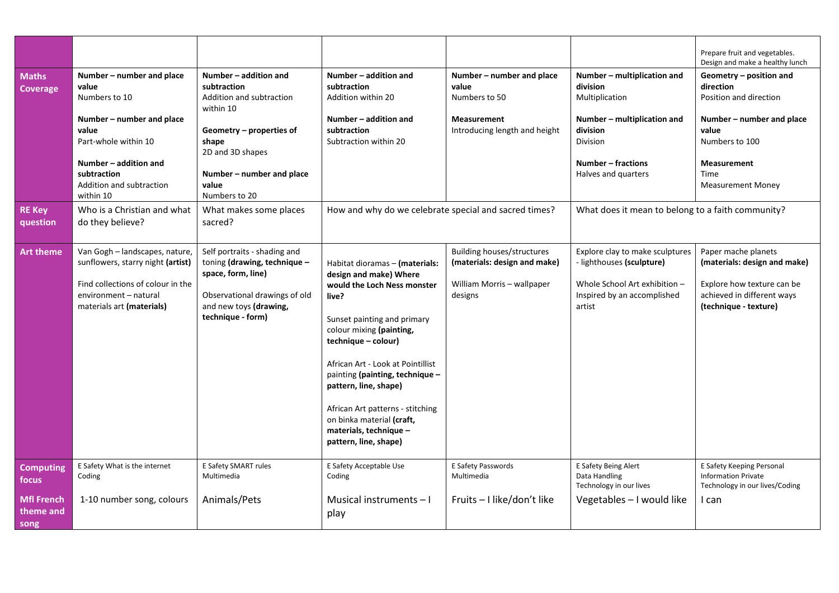|                                                  |                                                                                                                                                                                                                                   |                                                                                                                                                                                                                         |                                                                                                                                                                                                                                                                                                                                                                                                         |                                                                                                            |                                                                                                                                                                                                                    | Prepare fruit and vegetables.<br>Design and make a healthy lunch                                                                                                                 |
|--------------------------------------------------|-----------------------------------------------------------------------------------------------------------------------------------------------------------------------------------------------------------------------------------|-------------------------------------------------------------------------------------------------------------------------------------------------------------------------------------------------------------------------|---------------------------------------------------------------------------------------------------------------------------------------------------------------------------------------------------------------------------------------------------------------------------------------------------------------------------------------------------------------------------------------------------------|------------------------------------------------------------------------------------------------------------|--------------------------------------------------------------------------------------------------------------------------------------------------------------------------------------------------------------------|----------------------------------------------------------------------------------------------------------------------------------------------------------------------------------|
| <b>Maths</b><br><b>Coverage</b><br><b>RE Key</b> | Number - number and place<br>value<br>Numbers to 10<br>Number – number and place<br>value<br>Part-whole within 10<br>Number - addition and<br>subtraction<br>Addition and subtraction<br>within 10<br>Who is a Christian and what | Number - addition and<br>subtraction<br>Addition and subtraction<br>within 10<br>Geometry - properties of<br>shape<br>2D and 3D shapes<br>Number – number and place<br>value<br>Numbers to 20<br>What makes some places | Number - addition and<br>subtraction<br>Addition within 20<br>Number - addition and<br>subtraction<br>Subtraction within 20<br>How and why do we celebrate special and sacred times?                                                                                                                                                                                                                    | Number - number and place<br>value<br>Numbers to 50<br><b>Measurement</b><br>Introducing length and height | Number - multiplication and<br>division<br>Multiplication<br>Number - multiplication and<br>division<br>Division<br>Number - fractions<br>Halves and quarters<br>What does it mean to belong to a faith community? | Geometry - position and<br>direction<br>Position and direction<br>Number – number and place<br>value<br>Numbers to 100<br><b>Measurement</b><br>Time<br><b>Measurement Money</b> |
| question                                         | do they believe?                                                                                                                                                                                                                  | sacred?                                                                                                                                                                                                                 |                                                                                                                                                                                                                                                                                                                                                                                                         |                                                                                                            |                                                                                                                                                                                                                    |                                                                                                                                                                                  |
| <b>Art theme</b>                                 | Van Gogh - landscapes, nature,<br>sunflowers, starry night (artist)<br>Find collections of colour in the<br>environment - natural<br>materials art (materials)                                                                    | Self portraits - shading and<br>toning (drawing, technique -<br>space, form, line)<br>Observational drawings of old<br>and new toys (drawing,<br>technique - form)                                                      | Habitat dioramas - (materials:<br>design and make) Where<br>would the Loch Ness monster<br>live?<br>Sunset painting and primary<br>colour mixing (painting,<br>technique - colour)<br>African Art - Look at Pointillist<br>painting (painting, technique -<br>pattern, line, shape)<br>African Art patterns - stitching<br>on binka material (craft,<br>materials, technique -<br>pattern, line, shape) | <b>Building houses/structures</b><br>(materials: design and make)<br>William Morris - wallpaper<br>designs | Explore clay to make sculptures<br>- lighthouses (sculpture)<br>Whole School Art exhibition -<br>Inspired by an accomplished<br>artist                                                                             | Paper mache planets<br>(materials: design and make)<br>Explore how texture can be<br>achieved in different ways<br>(technique - texture)                                         |
| <b>Computing</b><br>focus                        | E Safety What is the internet<br>Coding                                                                                                                                                                                           | E Safety SMART rules<br>Multimedia                                                                                                                                                                                      | E Safety Acceptable Use<br>Coding                                                                                                                                                                                                                                                                                                                                                                       | E Safety Passwords<br>Multimedia                                                                           | E Safety Being Alert<br>Data Handling<br>Technology in our lives                                                                                                                                                   | E Safety Keeping Personal<br><b>Information Private</b><br>Technology in our lives/Coding                                                                                        |
| <b>Mfl French</b><br>theme and<br>song           | 1-10 number song, colours                                                                                                                                                                                                         | Animals/Pets                                                                                                                                                                                                            | Musical instruments - I<br>play                                                                                                                                                                                                                                                                                                                                                                         | Fruits - I like/don't like                                                                                 | Vegetables - I would like                                                                                                                                                                                          | I can                                                                                                                                                                            |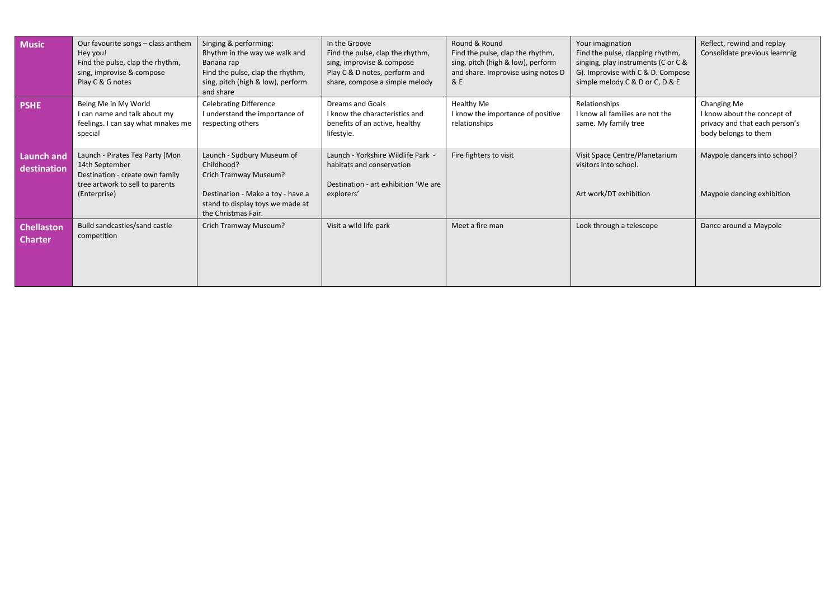| <b>Music</b>                        | Our favourite songs - class anthem<br>Hey you!<br>Find the pulse, clap the rhythm,<br>sing, improvise & compose<br>Play C & G notes     | Singing & performing:<br>Rhythm in the way we walk and<br>Banana rap<br>Find the pulse, clap the rhythm,<br>sing, pitch (high & low), perform<br>and share        | In the Groove<br>Find the pulse, clap the rhythm,<br>sing, improvise & compose<br>Play C & D notes, perform and<br>share, compose a simple melody | Round & Round<br>Find the pulse, clap the rhythm,<br>sing, pitch (high & low), perform<br>and share. Improvise using notes D<br>8E | Your imagination<br>Find the pulse, clapping rhythm,<br>singing, play instruments (C or C &<br>G). Improvise with C & D. Compose<br>simple melody C & D or C, D & E | Reflect, rewind and replay<br>Consolidate previous learnnig                                          |
|-------------------------------------|-----------------------------------------------------------------------------------------------------------------------------------------|-------------------------------------------------------------------------------------------------------------------------------------------------------------------|---------------------------------------------------------------------------------------------------------------------------------------------------|------------------------------------------------------------------------------------------------------------------------------------|---------------------------------------------------------------------------------------------------------------------------------------------------------------------|------------------------------------------------------------------------------------------------------|
| <b>PSHE</b>                         | Being Me in My World<br>I can name and talk about my<br>feelings. I can say what mnakes me<br>special                                   | <b>Celebrating Difference</b><br>I understand the importance of<br>respecting others                                                                              | Dreams and Goals<br>I know the characteristics and<br>benefits of an active, healthy<br>lifestyle.                                                | Healthy Me<br>I know the importance of positive<br>relationships                                                                   | Relationships<br>I know all families are not the<br>same. My family tree                                                                                            | Changing Me<br>I know about the concept of<br>privacy and that each person's<br>body belongs to them |
| <b>Launch and</b><br>destination    | Launch - Pirates Tea Party (Mon<br>14th September<br>Destination - create own family<br>tree artwork to sell to parents<br>(Enterprise) | Launch - Sudbury Museum of<br>Childhood?<br>Crich Tramway Museum?<br>Destination - Make a toy - have a<br>stand to display toys we made at<br>the Christmas Fair. | Launch - Yorkshire Wildlife Park -<br>habitats and conservation<br>Destination - art exhibition 'We are<br>explorers'                             | Fire fighters to visit                                                                                                             | Visit Space Centre/Planetarium<br>visitors into school.<br>Art work/DT exhibition                                                                                   | Maypole dancers into school?<br>Maypole dancing exhibition                                           |
| <b>Chellaston</b><br><b>Charter</b> | Build sandcastles/sand castle<br>competition                                                                                            | Crich Tramway Museum?                                                                                                                                             | Visit a wild life park                                                                                                                            | Meet a fire man                                                                                                                    | Look through a telescope                                                                                                                                            | Dance around a Maypole                                                                               |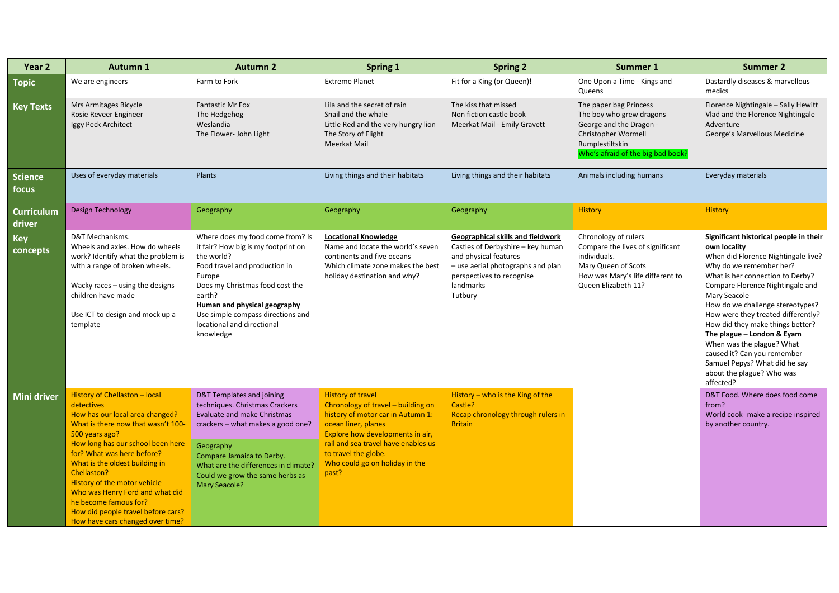| Year 2               | <b>Autumn 1</b>                                                                                                                                                                                                                                                                                                                                                                                                                  | <b>Autumn 2</b>                                                                                                                                                                                                                                                                               | <b>Spring 1</b>                                                                                                                                                                                                                                                          | <b>Spring 2</b>                                                                                                                                                                           | Summer 1                                                                                                                                                     | <b>Summer 2</b>                                                                                                                                                                                                                                                                                                                                                                                                                                                                                     |
|----------------------|----------------------------------------------------------------------------------------------------------------------------------------------------------------------------------------------------------------------------------------------------------------------------------------------------------------------------------------------------------------------------------------------------------------------------------|-----------------------------------------------------------------------------------------------------------------------------------------------------------------------------------------------------------------------------------------------------------------------------------------------|--------------------------------------------------------------------------------------------------------------------------------------------------------------------------------------------------------------------------------------------------------------------------|-------------------------------------------------------------------------------------------------------------------------------------------------------------------------------------------|--------------------------------------------------------------------------------------------------------------------------------------------------------------|-----------------------------------------------------------------------------------------------------------------------------------------------------------------------------------------------------------------------------------------------------------------------------------------------------------------------------------------------------------------------------------------------------------------------------------------------------------------------------------------------------|
| <b>Topic</b>         | We are engineers                                                                                                                                                                                                                                                                                                                                                                                                                 | Farm to Fork                                                                                                                                                                                                                                                                                  | <b>Extreme Planet</b>                                                                                                                                                                                                                                                    | Fit for a King (or Queen)!                                                                                                                                                                | One Upon a Time - Kings and<br>Queens                                                                                                                        | Dastardly diseases & marvellous<br>medics                                                                                                                                                                                                                                                                                                                                                                                                                                                           |
| <b>Key Texts</b>     | Mrs Armitages Bicycle<br>Rosie Reveer Engineer<br>Iggy Peck Architect                                                                                                                                                                                                                                                                                                                                                            | <b>Fantastic Mr Fox</b><br>The Hedgehog-<br>Weslandia<br>The Flower- John Light                                                                                                                                                                                                               | Lila and the secret of rain<br>Snail and the whale<br>Little Red and the very hungry lion<br>The Story of Flight<br>Meerkat Mail                                                                                                                                         | The kiss that missed<br>Non fiction castle book<br>Meerkat Mail - Emily Gravett                                                                                                           | The paper bag Princess<br>The boy who grew dragons<br>George and the Dragon -<br>Christopher Wormell<br>Rumplestiltskin<br>Who's afraid of the big bad book? | Florence Nightingale - Sally Hewitt<br>Vlad and the Florence Nightingale<br>Adventure<br>George's Marvellous Medicine                                                                                                                                                                                                                                                                                                                                                                               |
| Science<br>focus     | Uses of everyday materials                                                                                                                                                                                                                                                                                                                                                                                                       | Plants                                                                                                                                                                                                                                                                                        | Living things and their habitats                                                                                                                                                                                                                                         | Living things and their habitats                                                                                                                                                          | Animals including humans                                                                                                                                     | Everyday materials                                                                                                                                                                                                                                                                                                                                                                                                                                                                                  |
| Curriculum<br>driver | Design Technology                                                                                                                                                                                                                                                                                                                                                                                                                | Geography                                                                                                                                                                                                                                                                                     | Geography                                                                                                                                                                                                                                                                | Geography                                                                                                                                                                                 | <b>History</b>                                                                                                                                               | <b>History</b>                                                                                                                                                                                                                                                                                                                                                                                                                                                                                      |
| Key<br>concepts      | D&T Mechanisms.<br>Wheels and axles. How do wheels<br>work? Identify what the problem is<br>with a range of broken wheels.<br>Wacky races - using the designs<br>children have made<br>Use ICT to design and mock up a<br>template                                                                                                                                                                                               | Where does my food come from? Is<br>it fair? How big is my footprint on<br>the world?<br>Food travel and production in<br>Europe<br>Does my Christmas food cost the<br>earth?<br>Human and physical geography<br>Use simple compass directions and<br>locational and directional<br>knowledge | <b>Locational Knowledge</b><br>Name and locate the world's seven<br>continents and five oceans<br>Which climate zone makes the best<br>holiday destination and why?                                                                                                      | Geographical skills and fieldwork<br>Castles of Derbyshire - key human<br>and physical features<br>- use aerial photographs and plan<br>perspectives to recognise<br>landmarks<br>Tutbury | Chronology of rulers<br>Compare the lives of significant<br>individuals.<br>Mary Queen of Scots<br>How was Mary's life different to<br>Queen Elizabeth 11?   | Significant historical people in their<br>own locality<br>When did Florence Nightingale live?<br>Why do we remember her?<br>What is her connection to Derby?<br>Compare Florence Nightingale and<br>Mary Seacole<br>How do we challenge stereotypes?<br>How were they treated differently?<br>How did they make things better?<br>The plague - London & Eyam<br>When was the plague? What<br>caused it? Can you remember<br>Samuel Pepys? What did he say<br>about the plague? Who was<br>affected? |
| Mini driver          | History of Chellaston - local<br>detectives<br>How has our local area changed?<br>What is there now that wasn't 100-<br>500 years ago?<br>How long has our school been here<br>for? What was here before?<br>What is the oldest building in<br>Chellaston?<br>History of the motor vehicle<br>Who was Henry Ford and what did<br>he become famous for?<br>How did people travel before cars?<br>How have cars changed over time? | <b>D&amp;T Templates and joining</b><br>techniques. Christmas Crackers<br>Evaluate and make Christmas<br>crackers - what makes a good one?<br>Geography<br>Compare Jamaica to Derby.<br>What are the differences in climate?<br>Could we grow the same herbs as<br><b>Mary Seacole?</b>       | <b>History of travel</b><br>Chronology of travel - building on<br>history of motor car in Autumn 1:<br>ocean liner, planes<br>Explore how developments in air,<br>rail and sea travel have enables us<br>to travel the globe.<br>Who could go on holiday in the<br>past? | History – who is the King of the<br>Castle?<br>Recap chronology through rulers in<br><b>Britain</b>                                                                                       |                                                                                                                                                              | D&T Food. Where does food come<br>from?<br>World cook- make a recipe inspired<br>by another country.                                                                                                                                                                                                                                                                                                                                                                                                |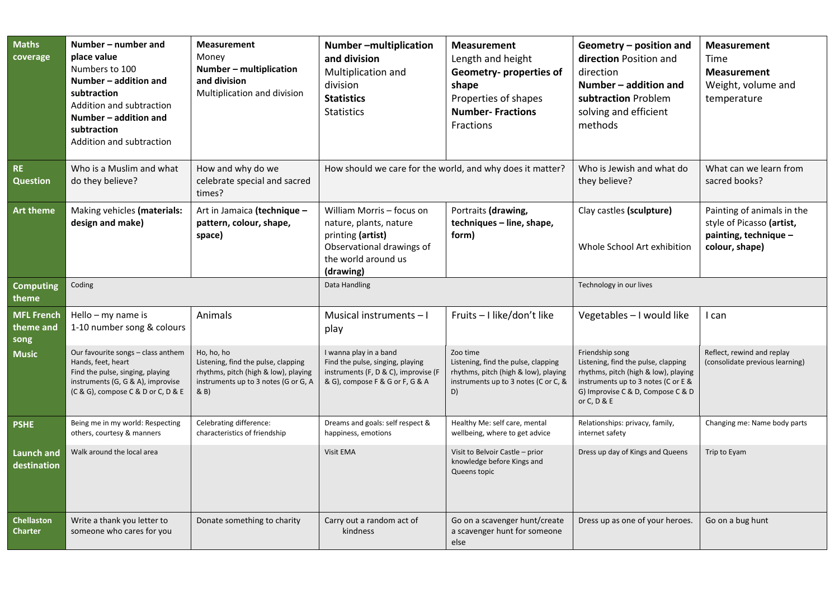| <b>Maths</b><br>coverage               | Number – number and<br>place value<br>Numbers to 100<br>Number - addition and<br>subtraction<br>Addition and subtraction<br>Number - addition and<br>subtraction<br>Addition and subtraction | <b>Measurement</b><br>Money<br>Number - multiplication<br>and division<br>Multiplication and division                                     | Number-multiplication<br>and division<br>Multiplication and<br>division<br><b>Statistics</b><br><b>Statistics</b>                         | <b>Measurement</b><br>Length and height<br>Geometry- properties of<br>shape<br>Properties of shapes<br><b>Number-Fractions</b><br><b>Fractions</b> | Geometry - position and<br>direction Position and<br>direction<br>Number - addition and<br>subtraction Problem<br>solving and efficient<br>methods                                        | <b>Measurement</b><br>Time<br><b>Measurement</b><br>Weight, volume and<br>temperature              |
|----------------------------------------|----------------------------------------------------------------------------------------------------------------------------------------------------------------------------------------------|-------------------------------------------------------------------------------------------------------------------------------------------|-------------------------------------------------------------------------------------------------------------------------------------------|----------------------------------------------------------------------------------------------------------------------------------------------------|-------------------------------------------------------------------------------------------------------------------------------------------------------------------------------------------|----------------------------------------------------------------------------------------------------|
| <b>RE</b><br><b>Question</b>           | Who is a Muslim and what<br>do they believe?                                                                                                                                                 | How and why do we<br>celebrate special and sacred<br>times?                                                                               | How should we care for the world, and why does it matter?                                                                                 |                                                                                                                                                    | Who is Jewish and what do<br>they believe?                                                                                                                                                | What can we learn from<br>sacred books?                                                            |
| <b>Art theme</b>                       | Making vehicles (materials:<br>design and make)                                                                                                                                              | Art in Jamaica (technique -<br>pattern, colour, shape,<br>space)                                                                          | William Morris - focus on<br>nature, plants, nature<br>printing (artist)<br>Observational drawings of<br>the world around us<br>(drawing) | Portraits (drawing,<br>techniques - line, shape,<br>form)                                                                                          | Clay castles (sculpture)<br>Whole School Art exhibition                                                                                                                                   | Painting of animals in the<br>style of Picasso (artist,<br>painting, technique -<br>colour, shape) |
| <b>Computing</b><br>theme              | Coding                                                                                                                                                                                       |                                                                                                                                           | Data Handling                                                                                                                             |                                                                                                                                                    | Technology in our lives                                                                                                                                                                   |                                                                                                    |
| <b>MFL French</b><br>theme and<br>song | Hello - my name is<br>1-10 number song & colours                                                                                                                                             | Animals                                                                                                                                   | Musical instruments $-1$<br>play                                                                                                          | Fruits - I like/don't like                                                                                                                         | Vegetables - I would like                                                                                                                                                                 | I can                                                                                              |
| <b>Music</b>                           | Our favourite songs - class anthem<br>Hands, feet, heart<br>Find the pulse, singing, playing<br>instruments (G, G & A), improvise<br>(C & G), compose C & D or C, D & E                      | Ho, ho, ho<br>Listening, find the pulse, clapping<br>rhythms, pitch (high & low), playing<br>instruments up to 3 notes (G or G, A<br>& B) | I wanna play in a band<br>Find the pulse, singing, playing<br>instruments (F, D & C), improvise (F<br>& G), compose F & G or F, G & A     | Zoo time<br>Listening, find the pulse, clapping<br>rhythms, pitch (high & low), playing<br>instruments up to 3 notes (C or C, &<br>D)              | Friendship song<br>Listening, find the pulse, clapping<br>rhythms, pitch (high & low), playing<br>instruments up to 3 notes (C or E &<br>G) Improvise C & D, Compose C & D<br>or C, D & E | Reflect, rewind and replay<br>(consolidate previous learning)                                      |
| <b>PSHE</b>                            | Being me in my world: Respecting<br>others, courtesy & manners                                                                                                                               | Celebrating difference:<br>characteristics of friendship                                                                                  | Dreams and goals: self respect &<br>happiness, emotions                                                                                   | Healthy Me: self care, mental<br>wellbeing, where to get advice                                                                                    | Relationships: privacy, family,<br>internet safety                                                                                                                                        | Changing me: Name body parts                                                                       |
| Launch and<br>destination              | Walk around the local area                                                                                                                                                                   |                                                                                                                                           | Visit EMA                                                                                                                                 | Visit to Belvoir Castle - prior<br>knowledge before Kings and<br>Queens topic                                                                      | Dress up day of Kings and Queens                                                                                                                                                          | Trip to Eyam                                                                                       |
| <b>Chellaston</b><br><b>Charter</b>    | Write a thank you letter to<br>someone who cares for you                                                                                                                                     | Donate something to charity                                                                                                               | Carry out a random act of<br>kindness                                                                                                     | Go on a scavenger hunt/create<br>a scavenger hunt for someone<br>else                                                                              | Dress up as one of your heroes.                                                                                                                                                           | Go on a bug hunt                                                                                   |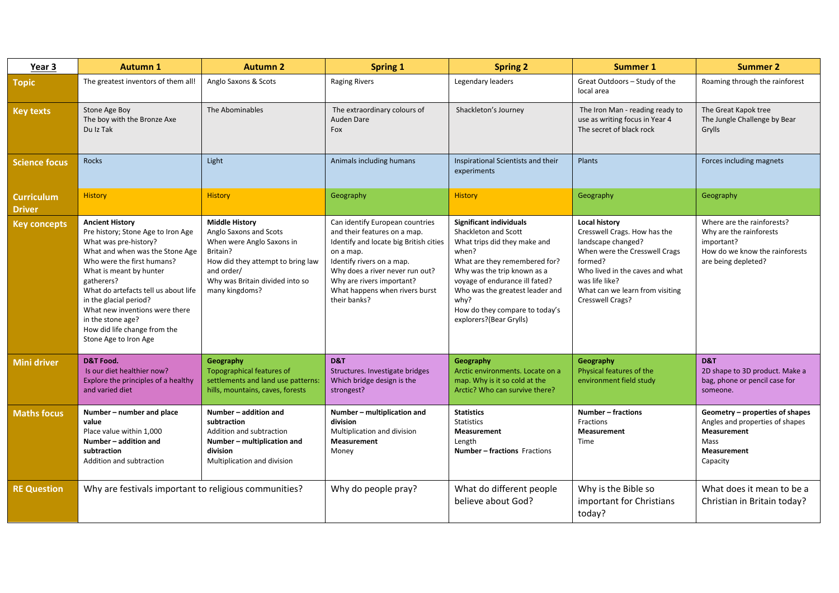| Year 3                             | <b>Autumn 1</b>                                                                                                                                                                                                                                                                                                                                                                   | <b>Autumn 2</b>                                                                                                                                                                                  | <b>Spring 1</b>                                                                                                                                                                                                                                                       | <b>Spring 2</b>                                                                                                                                                                                                                                                                                    | <b>Summer 1</b>                                                                                                                                                                                                                    | <b>Summer 2</b>                                                                                                              |
|------------------------------------|-----------------------------------------------------------------------------------------------------------------------------------------------------------------------------------------------------------------------------------------------------------------------------------------------------------------------------------------------------------------------------------|--------------------------------------------------------------------------------------------------------------------------------------------------------------------------------------------------|-----------------------------------------------------------------------------------------------------------------------------------------------------------------------------------------------------------------------------------------------------------------------|----------------------------------------------------------------------------------------------------------------------------------------------------------------------------------------------------------------------------------------------------------------------------------------------------|------------------------------------------------------------------------------------------------------------------------------------------------------------------------------------------------------------------------------------|------------------------------------------------------------------------------------------------------------------------------|
| <b>Topic</b>                       | The greatest inventors of them all!                                                                                                                                                                                                                                                                                                                                               | Anglo Saxons & Scots                                                                                                                                                                             | <b>Raging Rivers</b>                                                                                                                                                                                                                                                  | Legendary leaders                                                                                                                                                                                                                                                                                  | Great Outdoors - Study of the<br>local area                                                                                                                                                                                        | Roaming through the rainforest                                                                                               |
| <b>Key texts</b>                   | Stone Age Boy<br>The boy with the Bronze Axe<br>Du Iz Tak                                                                                                                                                                                                                                                                                                                         | The Abominables                                                                                                                                                                                  | The extraordinary colours of<br>Auden Dare<br>Fox                                                                                                                                                                                                                     | Shackleton's Journey                                                                                                                                                                                                                                                                               | The Iron Man - reading ready to<br>use as writing focus in Year 4<br>The secret of black rock                                                                                                                                      | The Great Kapok tree<br>The Jungle Challenge by Bear<br>Grylls                                                               |
| <b>Science focus</b>               | Rocks                                                                                                                                                                                                                                                                                                                                                                             | Light                                                                                                                                                                                            | Animals including humans                                                                                                                                                                                                                                              | Inspirational Scientists and their<br>experiments                                                                                                                                                                                                                                                  | Plants                                                                                                                                                                                                                             | Forces including magnets                                                                                                     |
| <b>Curriculum</b><br><b>Driver</b> | <b>History</b>                                                                                                                                                                                                                                                                                                                                                                    | <b>History</b>                                                                                                                                                                                   | Geography                                                                                                                                                                                                                                                             | <b>History</b>                                                                                                                                                                                                                                                                                     | Geography                                                                                                                                                                                                                          | Geography                                                                                                                    |
| <b>Key concepts</b>                | <b>Ancient History</b><br>Pre history; Stone Age to Iron Age<br>What was pre-history?<br>What and when was the Stone Age<br>Who were the first humans?<br>What is meant by hunter<br>gatherers?<br>What do artefacts tell us about life<br>in the glacial period?<br>What new inventions were there<br>in the stone age?<br>How did life change from the<br>Stone Age to Iron Age | <b>Middle History</b><br>Anglo Saxons and Scots<br>When were Anglo Saxons in<br>Britain?<br>How did they attempt to bring law<br>and order/<br>Why was Britain divided into so<br>many kingdoms? | Can identify European countries<br>and their features on a map.<br>Identify and locate big British cities<br>on a map.<br>Identify rivers on a map.<br>Why does a river never run out?<br>Why are rivers important?<br>What happens when rivers burst<br>their banks? | Significant individuals<br>Shackleton and Scott<br>What trips did they make and<br>when?<br>What are they remembered for?<br>Why was the trip known as a<br>voyage of endurance ill fated?<br>Who was the greatest leader and<br>why?<br>How do they compare to today's<br>explorers?(Bear Grylls) | <b>Local history</b><br>Cresswell Crags. How has the<br>landscape changed?<br>When were the Cresswell Crags<br>formed?<br>Who lived in the caves and what<br>was life like?<br>What can we learn from visiting<br>Cresswell Crags? | Where are the rainforests?<br>Why are the rainforests<br>important?<br>How do we know the rainforests<br>are being depleted? |
| <b>Mini driver</b>                 | <b>D&amp;T Food.</b><br>Is our diet healthier now?<br>Explore the principles of a healthy<br>and varied diet                                                                                                                                                                                                                                                                      | Geography<br>Topographical features of<br>settlements and land use patterns:<br>hills, mountains, caves, forests                                                                                 | D&T<br>Structures. Investigate bridges<br>Which bridge design is the<br>strongest?                                                                                                                                                                                    | Geography<br>Arctic environments. Locate on a<br>map. Why is it so cold at the<br>Arctic? Who can survive there?                                                                                                                                                                                   | Geography<br>Physical features of the<br>environment field study                                                                                                                                                                   | D&T<br>2D shape to 3D product. Make a<br>bag, phone or pencil case for<br>someone.                                           |
| <b>Maths focus</b>                 | Number - number and place<br>value<br>Place value within 1,000<br>Number - addition and<br>subtraction<br>Addition and subtraction                                                                                                                                                                                                                                                | Number - addition and<br>subtraction<br>Addition and subtraction<br>Number - multiplication and<br>division<br>Multiplication and division                                                       | Number - multiplication and<br>division<br>Multiplication and division<br><b>Measurement</b><br>Money                                                                                                                                                                 | <b>Statistics</b><br><b>Statistics</b><br>Measurement<br>Length<br><b>Number - fractions Fractions</b>                                                                                                                                                                                             | <b>Number - fractions</b><br>Fractions<br><b>Measurement</b><br>Time                                                                                                                                                               | Geometry - properties of shapes<br>Angles and properties of shapes<br>Measurement<br>Mass<br><b>Measurement</b><br>Capacity  |
| <b>RE Question</b>                 | Why are festivals important to religious communities?                                                                                                                                                                                                                                                                                                                             |                                                                                                                                                                                                  | Why do people pray?                                                                                                                                                                                                                                                   | What do different people<br>believe about God?                                                                                                                                                                                                                                                     | Why is the Bible so<br>important for Christians<br>today?                                                                                                                                                                          | What does it mean to be a<br>Christian in Britain today?                                                                     |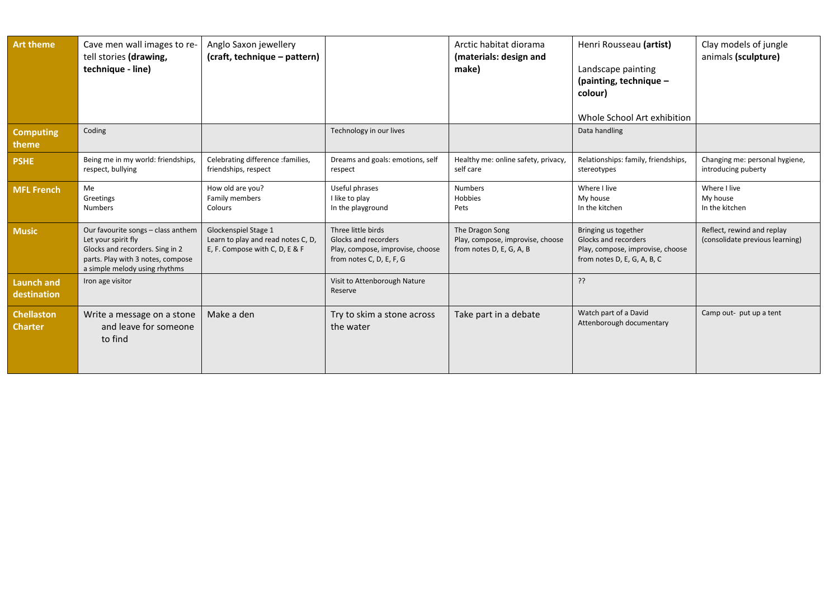| <b>Art theme</b>                    | Cave men wall images to re-<br>tell stories (drawing,<br>technique - line)                                                                                         | Anglo Saxon jewellery<br>(craft, technique – pattern)                                        |                                                                                                            | Arctic habitat diorama<br>(materials: design and<br>make)                       | Henri Rousseau (artist)<br>Landscape painting<br>(painting, technique $-$<br>colour)<br>Whole School Art exhibition | Clay models of jungle<br>animals (sculpture)                  |
|-------------------------------------|--------------------------------------------------------------------------------------------------------------------------------------------------------------------|----------------------------------------------------------------------------------------------|------------------------------------------------------------------------------------------------------------|---------------------------------------------------------------------------------|---------------------------------------------------------------------------------------------------------------------|---------------------------------------------------------------|
| <b>Computing</b><br>theme           | Coding                                                                                                                                                             |                                                                                              | Technology in our lives                                                                                    |                                                                                 | Data handling                                                                                                       |                                                               |
| <b>PSHE</b>                         | Being me in my world: friendships,<br>respect, bullying                                                                                                            | Celebrating difference : families,<br>friendships, respect                                   | Dreams and goals: emotions, self<br>respect                                                                | Healthy me: online safety, privacy,<br>self care                                | Relationships: family, friendships,<br>stereotypes                                                                  | Changing me: personal hygiene,<br>introducing puberty         |
| <b>MFL French</b>                   | Me<br>Greetings<br><b>Numbers</b>                                                                                                                                  | How old are you?<br>Family members<br>Colours                                                | Useful phrases<br>I like to play<br>In the playground                                                      | <b>Numbers</b><br>Hobbies<br>Pets                                               | Where I live<br>My house<br>In the kitchen                                                                          | Where I live<br>My house<br>In the kitchen                    |
| <b>Music</b>                        | Our favourite songs - class anthem<br>Let your spirit fly<br>Glocks and recorders. Sing in 2<br>parts. Play with 3 notes, compose<br>a simple melody using rhythms | Glockenspiel Stage 1<br>Learn to play and read notes C, D,<br>E, F. Compose with C, D, E & F | Three little birds<br>Glocks and recorders<br>Play, compose, improvise, choose<br>from notes C, D, E, F, G | The Dragon Song<br>Play, compose, improvise, choose<br>from notes D, E, G, A, B | Bringing us together<br>Glocks and recorders<br>Play, compose, improvise, choose<br>from notes D, E, G, A, B, C     | Reflect, rewind and replay<br>(consolidate previous learning) |
| <b>Launch and</b><br>destination    | Iron age visitor                                                                                                                                                   |                                                                                              | Visit to Attenborough Nature<br>Reserve                                                                    |                                                                                 | ??                                                                                                                  |                                                               |
| <b>Chellaston</b><br><b>Charter</b> | Write a message on a stone<br>and leave for someone<br>to find                                                                                                     | Make a den                                                                                   | Try to skim a stone across<br>the water                                                                    | Take part in a debate                                                           | Watch part of a David<br>Attenborough documentary                                                                   | Camp out- put up a tent                                       |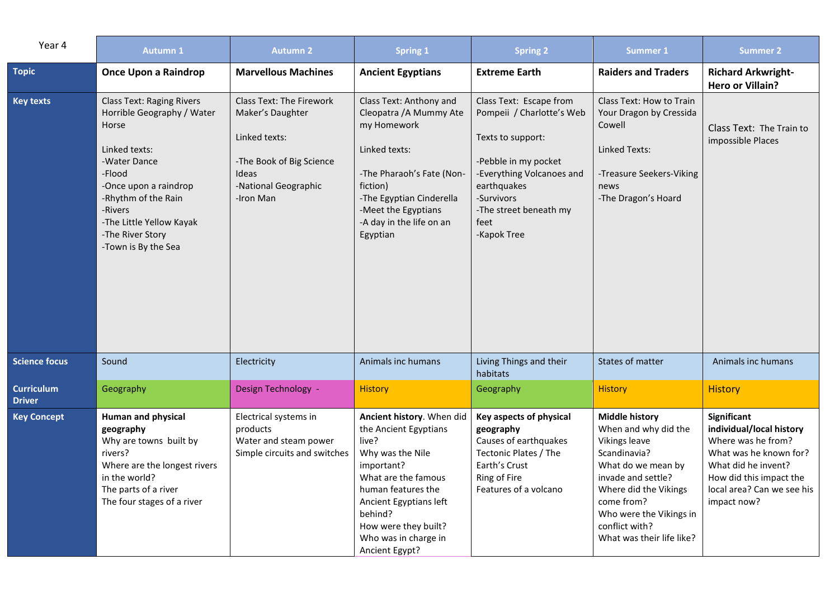| Year 4                             | <b>Autumn 1</b>                                                                                                                                                                                                                                      | <b>Autumn 2</b>                                                                                                                                | <b>Spring 1</b>                                                                                                                                                                                                                                   | <b>Spring 2</b>                                                                                                                                                                                              | <b>Summer 1</b>                                                                                                                                                                                                                                    | <b>Summer 2</b>                                                                                                                                                                        |
|------------------------------------|------------------------------------------------------------------------------------------------------------------------------------------------------------------------------------------------------------------------------------------------------|------------------------------------------------------------------------------------------------------------------------------------------------|---------------------------------------------------------------------------------------------------------------------------------------------------------------------------------------------------------------------------------------------------|--------------------------------------------------------------------------------------------------------------------------------------------------------------------------------------------------------------|----------------------------------------------------------------------------------------------------------------------------------------------------------------------------------------------------------------------------------------------------|----------------------------------------------------------------------------------------------------------------------------------------------------------------------------------------|
| <b>Topic</b>                       | <b>Once Upon a Raindrop</b>                                                                                                                                                                                                                          | <b>Marvellous Machines</b>                                                                                                                     | <b>Ancient Egyptians</b>                                                                                                                                                                                                                          | <b>Extreme Earth</b>                                                                                                                                                                                         | <b>Raiders and Traders</b>                                                                                                                                                                                                                         | <b>Richard Arkwright-</b><br><b>Hero or Villain?</b>                                                                                                                                   |
| <b>Key texts</b>                   | <b>Class Text: Raging Rivers</b><br>Horrible Geography / Water<br>Horse<br>Linked texts:<br>-Water Dance<br>-Flood<br>-Once upon a raindrop<br>-Rhythm of the Rain<br>-Rivers<br>-The Little Yellow Kayak<br>-The River Story<br>-Town is By the Sea | <b>Class Text: The Firework</b><br>Maker's Daughter<br>Linked texts:<br>-The Book of Big Science<br>Ideas<br>-National Geographic<br>-Iron Man | Class Text: Anthony and<br>Cleopatra / A Mummy Ate<br>my Homework<br>Linked texts:<br>-The Pharaoh's Fate (Non-<br>fiction)<br>-The Egyptian Cinderella<br>-Meet the Egyptians<br>-A day in the life on an<br>Egyptian                            | Class Text: Escape from<br>Pompeii / Charlotte's Web<br>Texts to support:<br>-Pebble in my pocket<br>-Everything Volcanoes and<br>earthquakes<br>-Survivors<br>-The street beneath my<br>feet<br>-Kapok Tree | Class Text: How to Train<br>Your Dragon by Cressida<br>Cowell<br>Linked Texts:<br>-Treasure Seekers-Viking<br>news<br>-The Dragon's Hoard                                                                                                          | Class Text: The Train to<br>impossible Places                                                                                                                                          |
| <b>Science focus</b>               | Sound                                                                                                                                                                                                                                                | Electricity                                                                                                                                    | Animals inc humans                                                                                                                                                                                                                                | Living Things and their<br>habitats                                                                                                                                                                          | States of matter                                                                                                                                                                                                                                   | Animals inc humans                                                                                                                                                                     |
| <b>Curriculum</b><br><b>Driver</b> | Geography                                                                                                                                                                                                                                            | Design Technology -                                                                                                                            | <b>History</b>                                                                                                                                                                                                                                    | Geography                                                                                                                                                                                                    | <b>History</b>                                                                                                                                                                                                                                     | <b>History</b>                                                                                                                                                                         |
| <b>Key Concept</b>                 | <b>Human and physical</b><br>geography<br>Why are towns built by<br>rivers?<br>Where are the longest rivers<br>in the world?<br>The parts of a river<br>The four stages of a river                                                                   | Electrical systems in<br>products<br>Water and steam power<br>Simple circuits and switches                                                     | Ancient history. When did<br>the Ancient Egyptians<br>live?<br>Why was the Nile<br>important?<br>What are the famous<br>human features the<br>Ancient Egyptians left<br>behind?<br>How were they built?<br>Who was in charge in<br>Ancient Egypt? | Key aspects of physical<br>geography<br>Causes of earthquakes<br>Tectonic Plates / The<br>Earth's Crust<br>Ring of Fire<br>Features of a volcano                                                             | <b>Middle history</b><br>When and why did the<br><b>Vikings leave</b><br>Scandinavia?<br>What do we mean by<br>invade and settle?<br>Where did the Vikings<br>come from?<br>Who were the Vikings in<br>conflict with?<br>What was their life like? | Significant<br>individual/local history<br>Where was he from?<br>What was he known for?<br>What did he invent?<br>How did this impact the<br>local area? Can we see his<br>impact now? |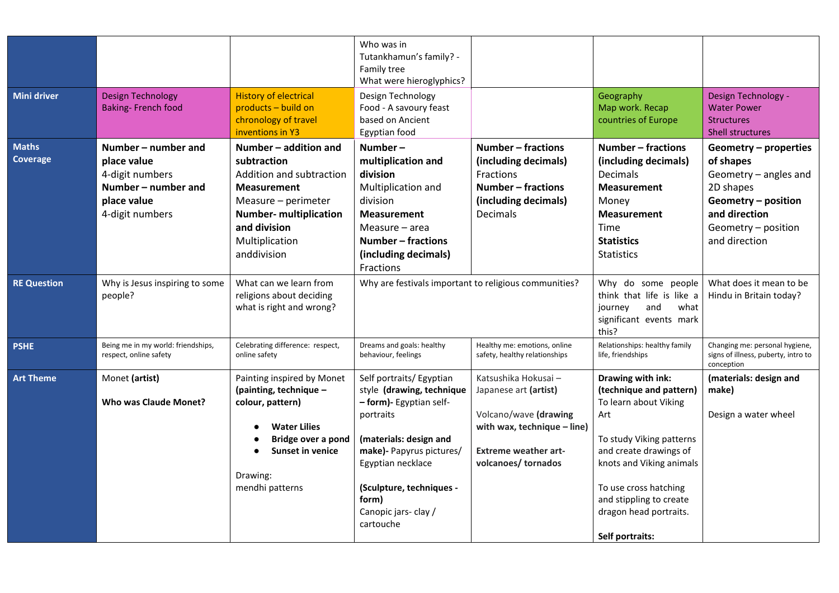|                          |                                                                                                                |                                                                                                                                                                                                 | Who was in<br>Tutankhamun's family? -<br>Family tree<br>What were hieroglyphics?                                                                                                                                                                  |                                                                                                                                                           |                                                                                                                                                                                                                                                                 |                                                                                                                                                          |
|--------------------------|----------------------------------------------------------------------------------------------------------------|-------------------------------------------------------------------------------------------------------------------------------------------------------------------------------------------------|---------------------------------------------------------------------------------------------------------------------------------------------------------------------------------------------------------------------------------------------------|-----------------------------------------------------------------------------------------------------------------------------------------------------------|-----------------------------------------------------------------------------------------------------------------------------------------------------------------------------------------------------------------------------------------------------------------|----------------------------------------------------------------------------------------------------------------------------------------------------------|
| <b>Mini driver</b>       | <b>Design Technology</b><br><b>Baking-French food</b>                                                          | <b>History of electrical</b><br>products - build on<br>chronology of travel<br>inventions in Y3                                                                                                 | Design Technology<br>Food - A savoury feast<br>based on Ancient<br>Egyptian food                                                                                                                                                                  |                                                                                                                                                           | Geography<br>Map work. Recap<br>countries of Europe                                                                                                                                                                                                             | Design Technology -<br><b>Water Power</b><br><b>Structures</b><br>Shell structures                                                                       |
| <b>Maths</b><br>Coverage | Number – number and<br>place value<br>4-digit numbers<br>Number – number and<br>place value<br>4-digit numbers | Number - addition and<br>subtraction<br>Addition and subtraction<br><b>Measurement</b><br>Measure - perimeter<br><b>Number- multiplication</b><br>and division<br>Multiplication<br>anddivision | Number-<br>multiplication and<br>division<br>Multiplication and<br>division<br><b>Measurement</b><br>Measure - area<br>Number - fractions<br>(including decimals)<br>Fractions                                                                    | Number – fractions<br>(including decimals)<br>Fractions<br>Number - fractions<br>(including decimals)<br>Decimals                                         | Number – fractions<br>(including decimals)<br><b>Decimals</b><br><b>Measurement</b><br>Money<br><b>Measurement</b><br>Time<br><b>Statistics</b><br><b>Statistics</b>                                                                                            | Geometry - properties<br>of shapes<br>Geometry - angles and<br>2D shapes<br>Geometry - position<br>and direction<br>Geometry - position<br>and direction |
| <b>RE Question</b>       | Why is Jesus inspiring to some<br>people?                                                                      | What can we learn from<br>religions about deciding<br>what is right and wrong?                                                                                                                  | Why are festivals important to religious communities?                                                                                                                                                                                             |                                                                                                                                                           | Why do some people<br>think that life is like a<br>and<br>journey<br>what<br>significant events mark<br>this?                                                                                                                                                   | What does it mean to be<br>Hindu in Britain today?                                                                                                       |
| <b>PSHE</b>              | Being me in my world: friendships,<br>respect, online safety                                                   | Celebrating difference: respect,<br>online safety                                                                                                                                               | Dreams and goals: healthy<br>behaviour, feelings                                                                                                                                                                                                  | Healthy me: emotions, online<br>safety, healthy relationships                                                                                             | Relationships: healthy family<br>life, friendships                                                                                                                                                                                                              | Changing me: personal hygiene,<br>signs of illness, puberty, intro to<br>conception                                                                      |
| <b>Art Theme</b>         | Monet (artist)<br><b>Who was Claude Monet?</b>                                                                 | Painting inspired by Monet<br>(painting, technique -<br>colour, pattern)<br><b>Water Lilies</b><br>Bridge over a pond<br><b>Sunset in venice</b><br>Drawing:<br>mendhi patterns                 | Self portraits/ Egyptian<br>style (drawing, technique<br>- form)- Egyptian self-<br>portraits<br>(materials: design and<br>make)- Papyrus pictures/<br>Egyptian necklace<br>(Sculpture, techniques -<br>form)<br>Canopic jars-clay /<br>cartouche | Katsushika Hokusai-<br>Japanese art (artist)<br>Volcano/wave (drawing<br>with wax, technique - line)<br><b>Extreme weather art-</b><br>volcanoes/tornados | Drawing with ink:<br>(technique and pattern)<br>To learn about Viking<br>Art<br>To study Viking patterns<br>and create drawings of<br>knots and Viking animals<br>To use cross hatching<br>and stippling to create<br>dragon head portraits.<br>Self portraits: | (materials: design and<br>make)<br>Design a water wheel                                                                                                  |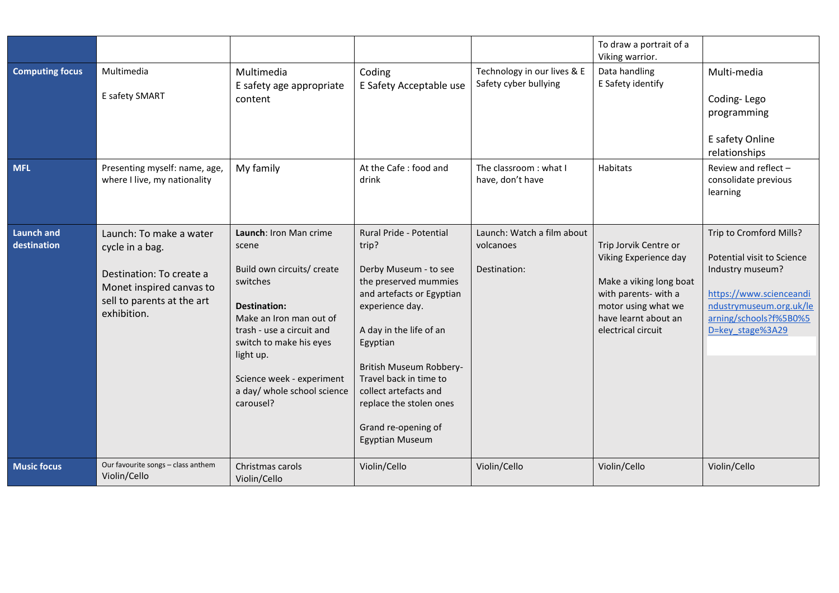|                                  |                                                                                                                                                 |                                                                                                                                                                                                                                                                    |                                                                                                                                                                                                                                                                                                                                     |                                                         | To draw a portrait of a<br>Viking warrior.                                                                                                                             |                                                                                                                                                                               |
|----------------------------------|-------------------------------------------------------------------------------------------------------------------------------------------------|--------------------------------------------------------------------------------------------------------------------------------------------------------------------------------------------------------------------------------------------------------------------|-------------------------------------------------------------------------------------------------------------------------------------------------------------------------------------------------------------------------------------------------------------------------------------------------------------------------------------|---------------------------------------------------------|------------------------------------------------------------------------------------------------------------------------------------------------------------------------|-------------------------------------------------------------------------------------------------------------------------------------------------------------------------------|
| <b>Computing focus</b>           | Multimedia<br>E safety SMART                                                                                                                    | Multimedia<br>E safety age appropriate<br>content                                                                                                                                                                                                                  | Coding<br>E Safety Acceptable use                                                                                                                                                                                                                                                                                                   | Technology in our lives & E<br>Safety cyber bullying    | Data handling<br>E Safety identify                                                                                                                                     | Multi-media<br>Coding-Lego<br>programming<br>E safety Online<br>relationships                                                                                                 |
| <b>MFL</b>                       | Presenting myself: name, age,<br>where I live, my nationality                                                                                   | My family                                                                                                                                                                                                                                                          | At the Cafe: food and<br>drink                                                                                                                                                                                                                                                                                                      | The classroom: what I<br>have, don't have               | Habitats                                                                                                                                                               | Review and reflect -<br>consolidate previous<br>learning                                                                                                                      |
| <b>Launch and</b><br>destination | Launch: To make a water<br>cycle in a bag.<br>Destination: To create a<br>Monet inspired canvas to<br>sell to parents at the art<br>exhibition. | Launch: Iron Man crime<br>scene<br>Build own circuits/ create<br>switches<br>Destination:<br>Make an Iron man out of<br>trash - use a circuit and<br>switch to make his eyes<br>light up.<br>Science week - experiment<br>a day/ whole school science<br>carousel? | Rural Pride - Potential<br>trip?<br>Derby Museum - to see<br>the preserved mummies<br>and artefacts or Egyptian<br>experience day.<br>A day in the life of an<br>Egyptian<br>British Museum Robbery-<br>Travel back in time to<br>collect artefacts and<br>replace the stolen ones<br>Grand re-opening of<br><b>Egyptian Museum</b> | Launch: Watch a film about<br>volcanoes<br>Destination: | Trip Jorvik Centre or<br>Viking Experience day<br>Make a viking long boat<br>with parents- with a<br>motor using what we<br>have learnt about an<br>electrical circuit | Trip to Cromford Mills?<br>Potential visit to Science<br>Industry museum?<br>https://www.scienceandi<br>ndustrymuseum.org.uk/le<br>arning/schools?f%5B0%5<br>D=key stage%3A29 |
| <b>Music focus</b>               | Our favourite songs - class anthem<br>Violin/Cello                                                                                              | Christmas carols<br>Violin/Cello                                                                                                                                                                                                                                   | Violin/Cello                                                                                                                                                                                                                                                                                                                        | Violin/Cello                                            | Violin/Cello                                                                                                                                                           | Violin/Cello                                                                                                                                                                  |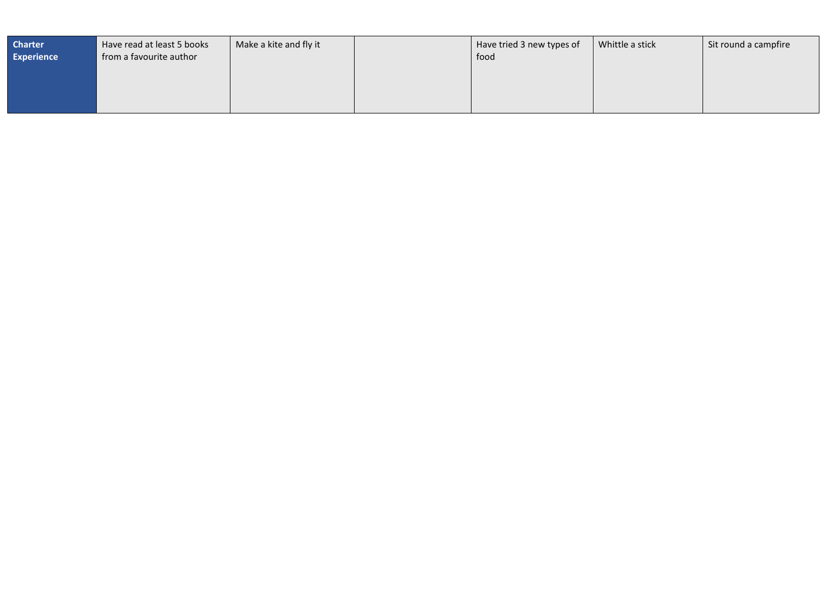| <b>Charter</b><br><b>Experience</b> | Have read at least 5 books<br>from a favourite author | Make a kite and fly it | Have tried 3 new types of<br>food | Whittle a stick | Sit round a campfire |
|-------------------------------------|-------------------------------------------------------|------------------------|-----------------------------------|-----------------|----------------------|
|                                     |                                                       |                        |                                   |                 |                      |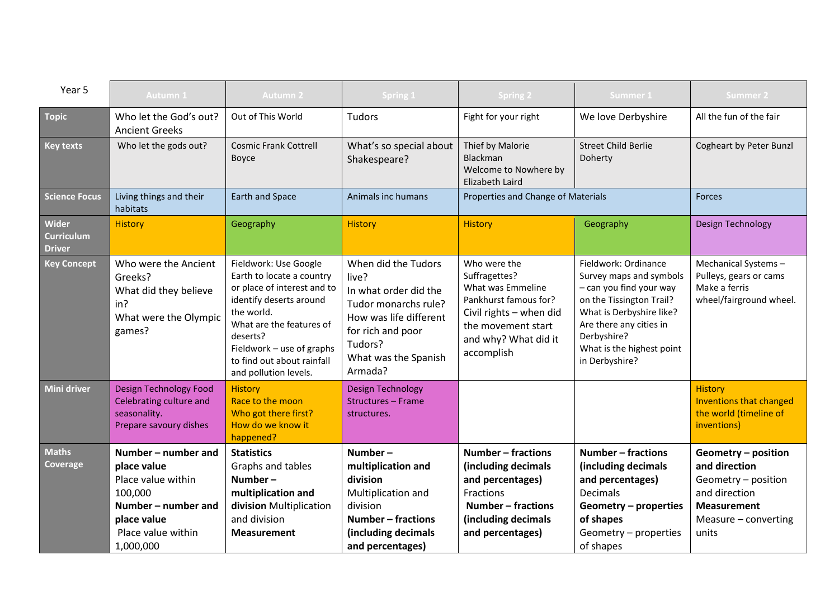| Year 5                                      | <b>Autumn 1</b>                                                                                                                              | <b>Autumn 2</b>                                                                                                                                                                                                                                        | <b>Spring 1</b>                                                                                                                                                            | <b>Spring 2</b>                                                                                                                                                    | Summer 1                                                                                                                                                                                                                    | <b>Summer 2</b>                                                                                                                     |
|---------------------------------------------|----------------------------------------------------------------------------------------------------------------------------------------------|--------------------------------------------------------------------------------------------------------------------------------------------------------------------------------------------------------------------------------------------------------|----------------------------------------------------------------------------------------------------------------------------------------------------------------------------|--------------------------------------------------------------------------------------------------------------------------------------------------------------------|-----------------------------------------------------------------------------------------------------------------------------------------------------------------------------------------------------------------------------|-------------------------------------------------------------------------------------------------------------------------------------|
| <b>Topic</b>                                | Who let the God's out?<br><b>Ancient Greeks</b>                                                                                              | Out of This World                                                                                                                                                                                                                                      | <b>Tudors</b>                                                                                                                                                              | Fight for your right                                                                                                                                               | We love Derbyshire                                                                                                                                                                                                          | All the fun of the fair                                                                                                             |
| <b>Key texts</b>                            | Who let the gods out?                                                                                                                        | <b>Cosmic Frank Cottrell</b><br>Boyce                                                                                                                                                                                                                  | What's so special about<br>Shakespeare?                                                                                                                                    | Thief by Malorie<br>Blackman<br>Welcome to Nowhere by<br>Elizabeth Laird                                                                                           | <b>Street Child Berlie</b><br>Doherty                                                                                                                                                                                       | <b>Cogheart by Peter Bunzl</b>                                                                                                      |
| <b>Science Focus</b>                        | Living things and their<br>habitats                                                                                                          | Earth and Space                                                                                                                                                                                                                                        | Animals inc humans                                                                                                                                                         | Properties and Change of Materials                                                                                                                                 |                                                                                                                                                                                                                             | <b>Forces</b>                                                                                                                       |
| Wider<br><b>Curriculum</b><br><b>Driver</b> | <b>History</b>                                                                                                                               | Geography                                                                                                                                                                                                                                              | <b>History</b>                                                                                                                                                             | <b>History</b>                                                                                                                                                     | Geography                                                                                                                                                                                                                   | <b>Design Technology</b>                                                                                                            |
| <b>Key Concept</b>                          | Who were the Ancient<br>Greeks?<br>What did they believe<br>in?<br>What were the Olympic<br>games?                                           | Fieldwork: Use Google<br>Earth to locate a country<br>or place of interest and to<br>identify deserts around<br>the world.<br>What are the features of<br>deserts?<br>Fieldwork - use of graphs<br>to find out about rainfall<br>and pollution levels. | When did the Tudors<br>live?<br>In what order did the<br>Tudor monarchs rule?<br>How was life different<br>for rich and poor<br>Tudors?<br>What was the Spanish<br>Armada? | Who were the<br>Suffragettes?<br>What was Emmeline<br>Pankhurst famous for?<br>Civil rights - when did<br>the movement start<br>and why? What did it<br>accomplish | Fieldwork: Ordinance<br>Survey maps and symbols<br>- can you find your way<br>on the Tissington Trail?<br>What is Derbyshire like?<br>Are there any cities in<br>Derbyshire?<br>What is the highest point<br>in Derbyshire? | Mechanical Systems-<br>Pulleys, gears or cams<br>Make a ferris<br>wheel/fairground wheel.                                           |
| Mini driver                                 | <b>Design Technology Food</b><br>Celebrating culture and<br>seasonality.<br>Prepare savoury dishes                                           | <b>History</b><br>Race to the moon<br>Who got there first?<br>How do we know it<br>happened?                                                                                                                                                           | <b>Design Technology</b><br>Structures - Frame<br>structures.                                                                                                              |                                                                                                                                                                    |                                                                                                                                                                                                                             | <b>History</b><br><b>Inventions that changed</b><br>the world (timeline of<br>inventions)                                           |
| <b>Maths</b><br>Coverage                    | Number - number and<br>place value<br>Place value within<br>100,000<br>Number – number and<br>place value<br>Place value within<br>1,000,000 | <b>Statistics</b><br>Graphs and tables<br>Number-<br>multiplication and<br>division Multiplication<br>and division<br><b>Measurement</b>                                                                                                               | Number-<br>multiplication and<br>division<br>Multiplication and<br>division<br>Number - fractions<br>(including decimals<br>and percentages)                               | Number - fractions<br>(including decimals<br>and percentages)<br>Fractions<br>Number - fractions<br>(including decimals<br>and percentages)                        | Number - fractions<br>(including decimals<br>and percentages)<br><b>Decimals</b><br>Geometry - properties<br>of shapes<br>Geometry - properties<br>of shapes                                                                | Geometry - position<br>and direction<br>Geometry - position<br>and direction<br><b>Measurement</b><br>Measure - converting<br>units |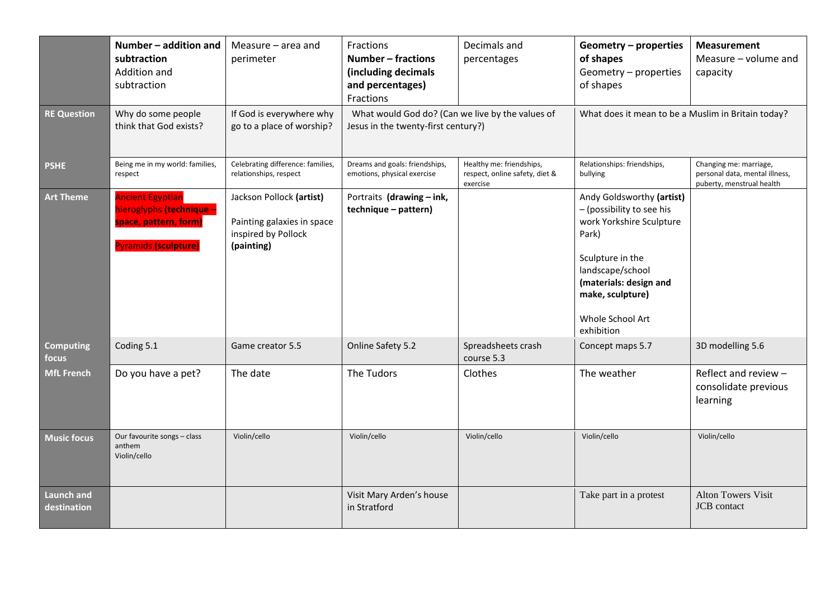|                                  | Number - addition and<br>subtraction<br>Addition and<br>subtraction                                         | Measure - area and<br>perimeter                                                             | Fractions<br><b>Number - fractions</b><br>(including decimals<br>and percentages)<br>Fractions | Decimals and<br>percentages                                            | <b>Geometry - properties</b><br>of shapes<br>Geometry - properties<br>of shapes                                                                                                                                     | <b>Measurement</b><br>Measure - volume and<br>capacity                                |
|----------------------------------|-------------------------------------------------------------------------------------------------------------|---------------------------------------------------------------------------------------------|------------------------------------------------------------------------------------------------|------------------------------------------------------------------------|---------------------------------------------------------------------------------------------------------------------------------------------------------------------------------------------------------------------|---------------------------------------------------------------------------------------|
| <b>RE Question</b>               | Why do some people<br>think that God exists?                                                                | If God is everywhere why<br>go to a place of worship?                                       | What would God do? (Can we live by the values of<br>Jesus in the twenty-first century?)        |                                                                        | What does it mean to be a Muslim in Britain today?                                                                                                                                                                  |                                                                                       |
| <b>PSHE</b>                      | Being me in my world: families,<br>respect                                                                  | Celebrating difference: families,<br>relationships, respect                                 | Dreams and goals: friendships,<br>emotions, physical exercise                                  | Healthy me: friendships,<br>respect, online safety, diet &<br>exercise | Relationships: friendships,<br>bullying                                                                                                                                                                             | Changing me: marriage,<br>personal data, mental illness,<br>puberty, menstrual health |
| <b>Art Theme</b>                 | <b>Ancient Egyptian</b><br>hieroglyphs (technique -<br>space, pattern, form)<br><b>Pyramids (sculpture)</b> | Jackson Pollock (artist)<br>Painting galaxies in space<br>inspired by Pollock<br>(painting) | Portraits (drawing - ink,<br>technique - pattern)                                              |                                                                        | Andy Goldsworthy (artist)<br>- (possibility to see his<br>work Yorkshire Sculpture<br>Park)<br>Sculpture in the<br>landscape/school<br>(materials: design and<br>make, sculpture)<br>Whole School Art<br>exhibition |                                                                                       |
| <b>Computing</b><br>focus        | Coding 5.1                                                                                                  | Game creator 5.5                                                                            | Online Safety 5.2                                                                              | Spreadsheets crash<br>course 5.3                                       | Concept maps 5.7                                                                                                                                                                                                    | 3D modelling 5.6                                                                      |
| <b>MfL French</b>                | Do you have a pet?                                                                                          | The date                                                                                    | The Tudors                                                                                     | Clothes                                                                | The weather                                                                                                                                                                                                         | Reflect and review -<br>consolidate previous<br>learning                              |
| <b>Music focus</b>               | Our favourite songs - class<br>anthem<br>Violin/cello                                                       | Violin/cello                                                                                | Violin/cello                                                                                   | Violin/cello                                                           | Violin/cello                                                                                                                                                                                                        | Violin/cello                                                                          |
| <b>Launch and</b><br>destination |                                                                                                             |                                                                                             | Visit Mary Arden's house<br>in Stratford                                                       |                                                                        | Take part in a protest                                                                                                                                                                                              | <b>Alton Towers Visit</b><br>JCB contact                                              |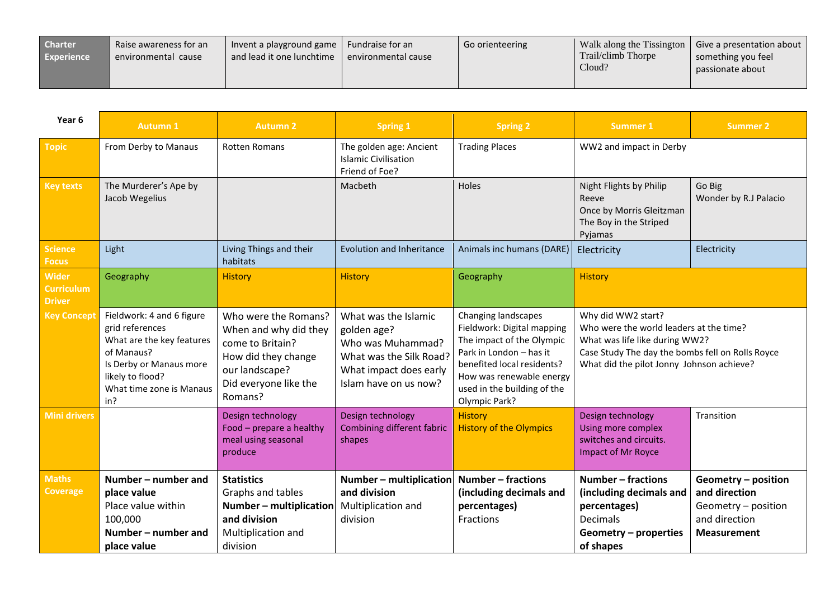| <b>Charter</b><br><b>Experience</b> | Raise awareness for an<br>environmental cause | Invent a playground game   Fundraise for an<br>and lead it one lunchtime | environmental cause | Go orienteering | Trail/climb Thorpe<br>Cloud? | Walk along the Tissington   Give a presentation about  <br>something you feel<br>passionate about |
|-------------------------------------|-----------------------------------------------|--------------------------------------------------------------------------|---------------------|-----------------|------------------------------|---------------------------------------------------------------------------------------------------|
|                                     |                                               |                                                                          |                     |                 |                              |                                                                                                   |

| Year 6                                             | <b>Autumn 1</b>                                                                                                                                                           | <b>Autumn 2</b>                                                                                                                                | <b>Spring 1</b>                                                                                                                        | <b>Spring 2</b>                                                                                                                                                                                                     | <b>Summer 1</b>                                                                                                                                                                                  | <b>Summer 2</b>                                                                                    |
|----------------------------------------------------|---------------------------------------------------------------------------------------------------------------------------------------------------------------------------|------------------------------------------------------------------------------------------------------------------------------------------------|----------------------------------------------------------------------------------------------------------------------------------------|---------------------------------------------------------------------------------------------------------------------------------------------------------------------------------------------------------------------|--------------------------------------------------------------------------------------------------------------------------------------------------------------------------------------------------|----------------------------------------------------------------------------------------------------|
| <b>Topic</b>                                       | From Derby to Manaus                                                                                                                                                      | <b>Rotten Romans</b>                                                                                                                           | The golden age: Ancient<br><b>Islamic Civilisation</b><br>Friend of Foe?                                                               | <b>Trading Places</b>                                                                                                                                                                                               | WW2 and impact in Derby                                                                                                                                                                          |                                                                                                    |
| <b>Key texts</b>                                   | The Murderer's Ape by<br>Jacob Wegelius                                                                                                                                   |                                                                                                                                                | Macbeth                                                                                                                                | Holes                                                                                                                                                                                                               | Night Flights by Philip<br>Reeve<br>Once by Morris Gleitzman<br>The Boy in the Striped<br>Pyjamas                                                                                                | Go Big<br>Wonder by R.J Palacio                                                                    |
| <b>Science</b><br><b>Focus</b>                     | Light                                                                                                                                                                     | Living Things and their<br>habitats                                                                                                            | <b>Evolution and Inheritance</b>                                                                                                       | Animals inc humans (DARE)                                                                                                                                                                                           | Electricity                                                                                                                                                                                      | Electricity                                                                                        |
| <b>Wider</b><br><b>Curriculum</b><br><b>Driver</b> | Geography                                                                                                                                                                 | <b>History</b>                                                                                                                                 | <b>History</b>                                                                                                                         | Geography                                                                                                                                                                                                           | <b>History</b>                                                                                                                                                                                   |                                                                                                    |
| <b>Key Concept</b>                                 | Fieldwork: 4 and 6 figure<br>grid references<br>What are the key features<br>of Manaus?<br>Is Derby or Manaus more<br>likely to flood?<br>What time zone is Manaus<br>in? | Who were the Romans?<br>When and why did they<br>come to Britain?<br>How did they change<br>our landscape?<br>Did everyone like the<br>Romans? | What was the Islamic<br>golden age?<br>Who was Muhammad?<br>What was the Silk Road?<br>What impact does early<br>Islam have on us now? | Changing landscapes<br>Fieldwork: Digital mapping<br>The impact of the Olympic<br>Park in London - has it<br>benefited local residents?<br>How was renewable energy<br>used in the building of the<br>Olympic Park? | Why did WW2 start?<br>Who were the world leaders at the time?<br>What was life like during WW2?<br>Case Study The day the bombs fell on Rolls Royce<br>What did the pilot Jonny Johnson achieve? |                                                                                                    |
| <b>Mini drivers</b>                                |                                                                                                                                                                           | Design technology<br>Food - prepare a healthy<br>meal using seasonal<br>produce                                                                | Design technology<br>Combining different fabric<br>shapes                                                                              | <b>History</b><br><b>History of the Olympics</b>                                                                                                                                                                    | Design technology<br>Using more complex<br>switches and circuits.<br><b>Impact of Mr Royce</b>                                                                                                   | Transition                                                                                         |
| <b>Maths</b><br><b>Coverage</b>                    | Number – number and<br>place value<br>Place value within<br>100,000<br>Number – number and<br>place value                                                                 | <b>Statistics</b><br>Graphs and tables<br>$Number - multiplication$<br>and division<br>Multiplication and<br>division                          | Number - multiplication<br>and division<br>Multiplication and<br>division                                                              | Number - fractions<br>(including decimals and<br>percentages)<br>Fractions                                                                                                                                          | Number - fractions<br>(including decimals and<br>percentages)<br><b>Decimals</b><br>Geometry - properties<br>of shapes                                                                           | Geometry - position<br>and direction<br>Geometry - position<br>and direction<br><b>Measurement</b> |